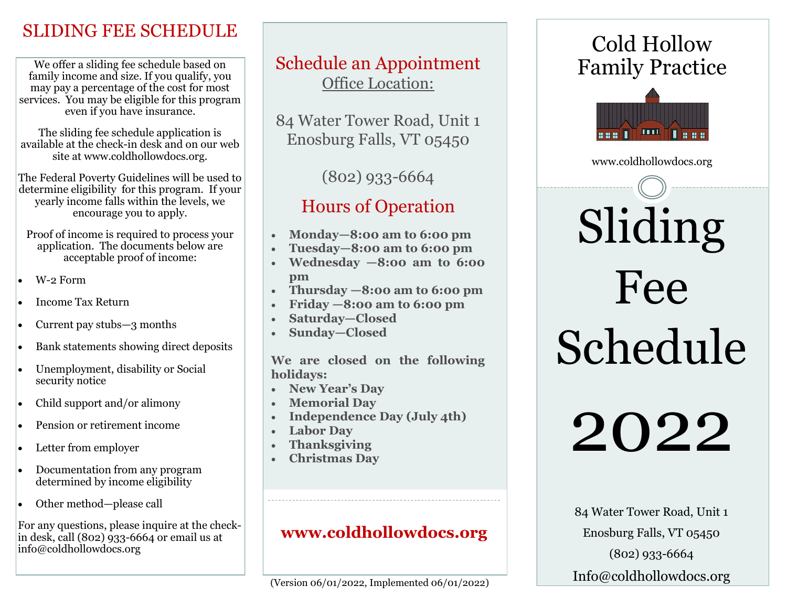### SLIDING FEE SCHEDULE

We offer a sliding fee schedule based on family income and size. If you qualify, you may pay a percentage of the cost for most services. You may be eligible for this program even if you have insurance.

The sliding fee schedule application is available at the check-in desk and on our web site at www.coldhollowdocs.org.

The Federal Poverty Guidelines will be used to determine eligibility for this program. If your yearly income falls within the levels, we encourage you to apply.

Proof of income is required to process your application. The documents below are acceptable proof of income:

- W-2 Form
- Income Tax Return
- Current pay stubs—3 months
- Bank statements showing direct deposits
- Unemployment, disability or Social security notice
- Child support and/or alimony
- Pension or retirement income
- Letter from employer
- Documentation from any program determined by income eligibility
- Other method—please call

For any questions, please inquire at the checkin desk, call (802) 933-6664 or email us at info@coldhollowdocs.org

#### Schedule an Appointment Office Location:

84 Water Tower Road, Unit 1 Enosburg Falls, VT 05450

(802) 933-6664

# Hours of Operation

- **Monday—8:00 am to 6:00 pm**
- **Tuesday—8:00 am to 6:00 pm**
- **Wednesday —8:00 am to 6:00 pm**
- **Thursday —8:00 am to 6:00 pm**
- **Friday —8:00 am to 6:00 pm**
- **Saturday—Closed**
- **Sunday—Closed**

**We are closed on the following holidays:**

- **New Year's Day**
- **Memorial Day**
- **Independence Day (July 4th)**
- **Labor Day**
- **Thanksgiving**
- **Christmas Day**

#### **www.coldhollowdocs.org**

# Cold Hollow Family Practice



www.coldhollowdocs.org

# Sliding Fee Schedule

2022

84 Water Tower Road, Unit 1 Enosburg Falls, VT 05450 (802) 933-6664 Info@coldhollowdocs.org